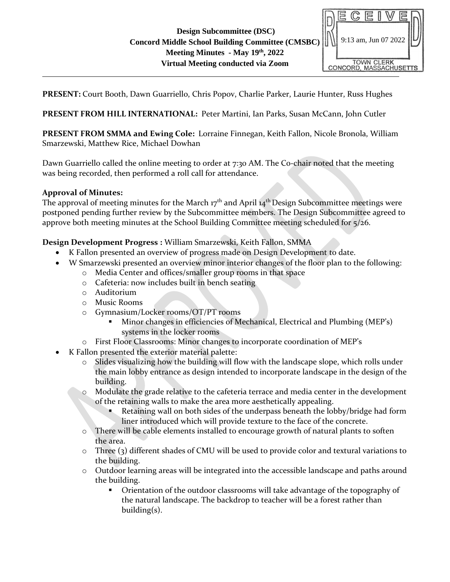**PRESENT:** Court Booth, Dawn Guarriello, Chris Popov, Charlie Parker, Laurie Hunter, Russ Hughes

**PRESENT FROM HILL INTERNATIONAL:** Peter Martini, Ian Parks, Susan McCann, John Cutler

**PRESENT FROM SMMA and Ewing Cole:** Lorraine Finnegan, Keith Fallon, Nicole Bronola, William Smarzewski, Matthew Rice, Michael Dowhan

Dawn Guarriello called the online meeting to order at 7:30 AM. The Co-chair noted that the meeting was being recorded, then performed a roll call for attendance.

## **Approval of Minutes:**

The approval of meeting minutes for the March  $17<sup>th</sup>$  and April  $14<sup>th</sup>$  Design Subcommittee meetings were postponed pending further review by the Subcommittee members. The Design Subcommittee agreed to approve both meeting minutes at the School Building Committee meeting scheduled for 5/26.

## **Design Development Progress :** William Smarzewski, Keith Fallon, SMMA

- K Fallon presented an overview of progress made on Design Development to date.
- W Smarzewski presented an overview minor interior changes of the floor plan to the following:
	- o Media Center and offices/smaller group rooms in that space
	- o Cafeteria: now includes built in bench seating
	- o Auditorium
	- o Music Rooms
	- o Gymnasium/Locker rooms/OT/PT rooms
		- Minor changes in efficiencies of Mechanical, Electrical and Plumbing (MEP's) systems in the locker rooms
	- o First Floor Classrooms: Minor changes to incorporate coordination of MEP's
- K Fallon presented the exterior material palette:
	- o Slides visualizing how the building will flow with the landscape slope, which rolls under the main lobby entrance as design intended to incorporate landscape in the design of the building.
	- Modulate the grade relative to the cafeteria terrace and media center in the development of the retaining walls to make the area more aesthetically appealing.
		- Retaining wall on both sides of the underpass beneath the lobby/bridge had form liner introduced which will provide texture to the face of the concrete.
	- o There will be cable elements installed to encourage growth of natural plants to soften the area.
	- o Three (3) different shades of CMU will be used to provide color and textural variations to the building.
	- o Outdoor learning areas will be integrated into the accessible landscape and paths around the building.
		- Orientation of the outdoor classrooms will take advantage of the topography of the natural landscape. The backdrop to teacher will be a forest rather than building(s).